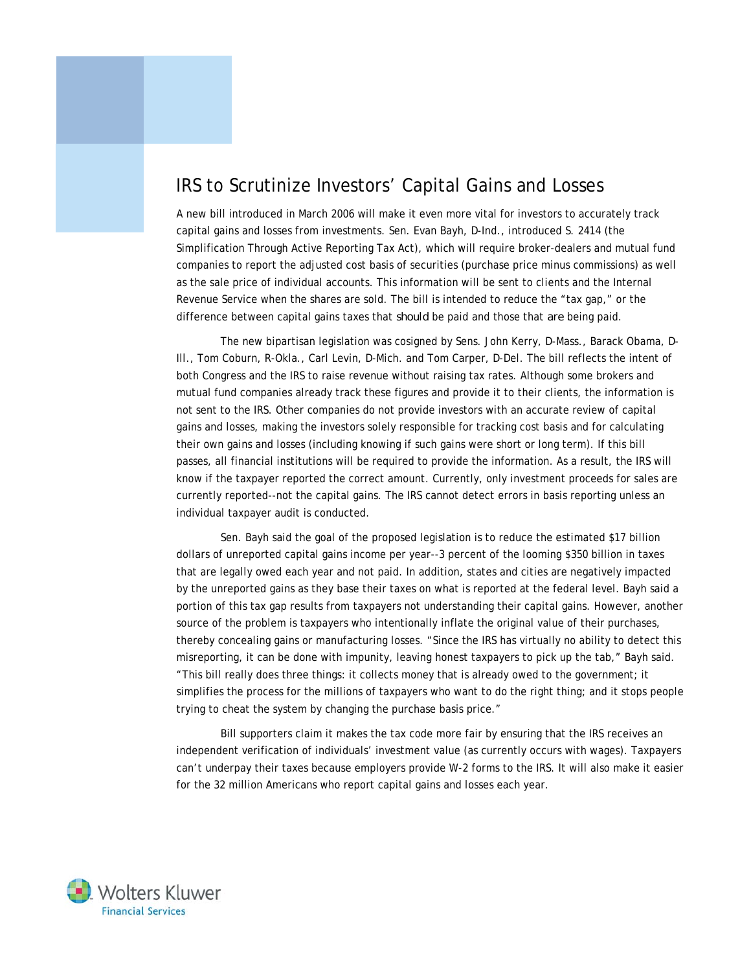## IRS to Scrutinize Investors' Capital Gains and Losses

A new bill introduced in March 2006 will make it even more vital for investors to accurately track capital gains and losses from investments. Sen. Evan Bayh, D-Ind., introduced S. 2414 (the Simplification Through Active Reporting Tax Act), which will require broker-dealers and mutual fund companies to report the adjusted cost basis of securities (purchase price minus commissions) as well as the sale price of individual accounts. This information will be sent to clients and the Internal Revenue Service when the shares are sold. The bill is intended to reduce the "tax gap," or the difference between capital gains taxes that *should* be paid and those that *are* being paid.

 The new bipartisan legislation was cosigned by Sens. John Kerry, D-Mass., Barack Obama, D-Ill., Tom Coburn, R-Okla., Carl Levin, D-Mich. and Tom Carper, D-Del. The bill reflects the intent of both Congress and the IRS to raise revenue without raising tax rates. Although some brokers and mutual fund companies already track these figures and provide it to their clients, the information is not sent to the IRS. Other companies do not provide investors with an accurate review of capital gains and losses, making the investors solely responsible for tracking cost basis and for calculating their own gains and losses (including knowing if such gains were short or long term). If this bill passes, all financial institutions will be required to provide the information. As a result, the IRS will know if the taxpayer reported the correct amount. Currently, only investment proceeds for sales are currently reported--not the capital gains. The IRS cannot detect errors in basis reporting unless an individual taxpayer audit is conducted.

 Sen. Bayh said the goal of the proposed legislation is to reduce the estimated \$17 billion dollars of unreported capital gains income per year--3 percent of the looming \$350 billion in taxes that are legally owed each year and not paid. In addition, states and cities are negatively impacted by the unreported gains as they base their taxes on what is reported at the federal level. Bayh said a portion of this tax gap results from taxpayers not understanding their capital gains. However, another source of the problem is taxpayers who intentionally inflate the original value of their purchases, thereby concealing gains or manufacturing losses. "Since the IRS has virtually no ability to detect this misreporting, it can be done with impunity, leaving honest taxpayers to pick up the tab," Bayh said. "This bill really does three things: it collects money that is already owed to the government; it simplifies the process for the millions of taxpayers who want to do the right thing; and it stops people trying to cheat the system by changing the purchase basis price."

 Bill supporters claim it makes the tax code more fair by ensuring that the IRS receives an independent verification of individuals' investment value (as currently occurs with wages). Taxpayers can't underpay their taxes because employers provide W-2 forms to the IRS. It will also make it easier for the 32 million Americans who report capital gains and losses each year.